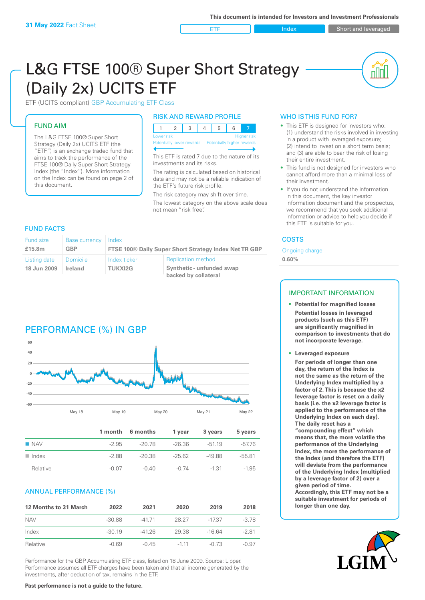**ETF** Index Short and leveraged

nnl

# L&G FTSE 100® Super Short Strategy (Daily 2x) UCITS ETF

ETF (UCITS compliant) GBP Accumulating ETF Class

## FUND AIM

The L&G FTSE 100® Super Short Strategy (Daily 2x) UCITS ETF (the "ETF") is an exchange traded fund that aims to track the performance of the FTSE 100® Daily Super Short Strategy Index (the "Index"). More information on the Index can be found on page 2 of this document.

#### RISK AND REWARD PROFILE

| Lower risk |  |  |  |  | <b>Higher risk</b> |
|------------|--|--|--|--|--------------------|
|            |  |  |  |  |                    |

Potentially lower rewards Potentially higher rewards

This ETF is rated 7 due to the nature of its investments and its risks.

The rating is calculated based on historical data and may not be a reliable indication of the ETF's future risk profile.

The risk category may shift over time. The lowest category on the above scale does not mean "risk free".

## FUND FACTS

| Fund size<br>£15.8m | <b>Base currency</b><br>GBP | Index          | <b>FTSE 100® Daily Super Short Strategy Index Net TR GBP</b> |
|---------------------|-----------------------------|----------------|--------------------------------------------------------------|
| Listing date        | <b>Domicile</b>             | Index ticker   | <b>Replication method</b>                                    |
| 18 Jun 2009         | Ireland                     | <b>TUKXI2G</b> | Synthetic - unfunded swap<br>backed by collateral            |

# PERFORMANCE (%) IN GBP



|                      |         | 1 month 6 months | 1 year   | 3 years | 5 years  |
|----------------------|---------|------------------|----------|---------|----------|
| $\blacksquare$ NAV   | $-2.95$ | -20.78           | $-26.36$ | $-5119$ | $-57.76$ |
| $\blacksquare$ Index | -2.88   | $-20.38$         | -25.62   | -49.88  | $-55.81$ |
| Relative             | $-0.07$ | $-0.40$          | $-0.74$  | $-1.31$ | $-1.95$  |

#### ANNUAL PERFORMANCE (%)

| 12 Months to 31 March | 2022     | 2021    | 2020   | 2019     | 2018    |
|-----------------------|----------|---------|--------|----------|---------|
| <b>NAV</b>            | $-30.88$ | $-4171$ | 28.27  | $-1737$  | $-378$  |
| Index                 | $-30.19$ | $-4126$ | 29.38  | $-16.64$ | $-2.81$ |
| Relative              | $-0.69$  | $-0.45$ | $-111$ | $-0.73$  | $-0.97$ |

Performance for the GBP Accumulating ETF class, listed on 18 June 2009. Source: Lipper. Performance assumes all ETF charges have been taken and that all income generated by the investments, after deduction of tax, remains in the ETF.

#### WHO IS THIS FUND FOR?

- This ETF is designed for investors who: (1) understand the risks involved in investing in a product with leveraged exposure; (2) intend to invest on a short term basis; and (3) are able to bear the risk of losing their entire investment.
- This fund is not designed for investors who cannot afford more than a minimal loss of their investment.
- If you do not understand the information in this document, the key investor information document and the prospectus, we recommend that you seek additional information or advice to help you decide if this ETF is suitable for you.

#### **COSTS**

Ongoing charge

**0.60%**

## IMPORTANT INFORMATION

- **• Potential for magnified losses Potential losses in leveraged products (such as this ETF) are significantly magnified in comparison to investments that do not incorporate leverage.**
- **• Leveraged exposure**

**For periods of longer than one day, the return of the Index is not the same as the return of the Underlying Index multiplied by a factor of 2. This is because the x2 leverage factor is reset on a daily basis (i.e. the x2 leverage factor is applied to the performance of the Underlying Index on each day). The daily reset has a** 

**"compounding effect" which means that, the more volatile the performance of the Underlying Index, the more the performance of the Index (and therefore the ETF) will deviate from the performance of the Underlying Index (multiplied by a leverage factor of 2) over a given period of time. Accordingly, this ETF may not be a suitable investment for periods of longer than one day.**

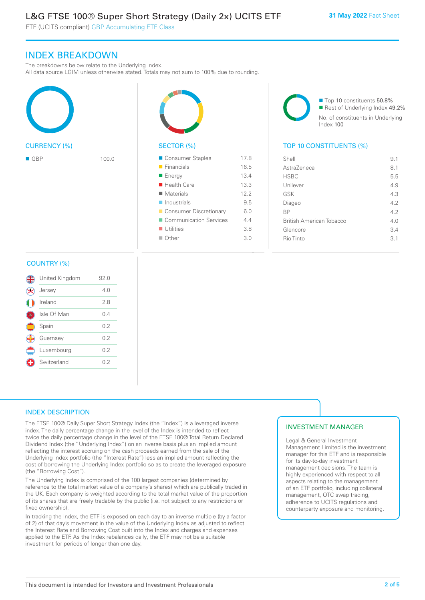# L&G FTSE 100® Super Short Strategy (Daily 2x) UCITS ETF

ETF (UCITS compliant) GBP Accumulating ETF Class

## INDEX BREAKDOWN

The breakdowns below relate to the Underlying Index.

All data source LGIM unless otherwise stated. Totals may not sum to 100% due to rounding.





■ Top 10 constituents 50.8% Rest of Underlying Index 49.2% No. of constituents in Underlying Index 100

## SECTOR (%) TOP 10 CONSTITUENTS (%)

| $\blacksquare$ GBP | 100.0 | Consumer Staples           | 17.8 | Shell                           | 9.1 |
|--------------------|-------|----------------------------|------|---------------------------------|-----|
|                    |       | Financials                 | 16.5 | AstraZeneca                     | 8.1 |
|                    |       | <b>E</b> Energy            | 13.4 | <b>HSBC</b>                     | 5.5 |
|                    |       | ■ Health Care              | 13.3 | Unilever                        | 4.9 |
|                    |       | $\blacksquare$ Materials   | 12.2 | GSK                             | 4.3 |
|                    |       | $\blacksquare$ Industrials | 9.5  | Diageo                          | 4.2 |
|                    |       | Consumer Discretionary     | 6.0  | <b>BP</b>                       | 4.2 |
|                    |       | Communication Services     | 4.4  | <b>British American Tobacco</b> | 4.0 |
|                    |       | $\blacksquare$ Utilities   | 3.8  | Glencore                        | 3.4 |
|                    |       | Other                      | 3.0  | Rio Tinto                       | 3.1 |
|                    |       |                            |      |                                 |     |

## COUNTRY (%)

| United Kingdom | 92.0 |  |
|----------------|------|--|
| Jersey         | 4 N  |  |
| Ireland        | 2.8  |  |
| Isle Of Man    | 0.4  |  |
| Spain          | 0.2  |  |
| Guernsey       | 0.2  |  |
| Luxembourg     | 0.2  |  |
| Switzerland    | 0.2  |  |
|                |      |  |

## INDEX DESCRIPTION

The FTSE 100® Daily Super Short Strategy Index (the "Index") is a leveraged inverse index. The daily percentage change in the level of the Index is intended to reflect twice the daily percentage change in the level of the FTSE 100® Total Return Declared Dividend Index (the "Underlying Index") on an inverse basis plus an implied amount reflecting the interest accruing on the cash proceeds earned from the sale of the Underlying Index portfolio (the "Interest Rate") less an implied amount reflecting the cost of borrowing the Underlying Index portfolio so as to create the leveraged exposure (the "Borrowing Cost").

The Underlying Index is comprised of the 100 largest companies (determined by reference to the total market value of a company's shares) which are publically traded in the UK. Each company is weighted according to the total market value of the proportion of its shares that are freely tradable by the public (i.e. not subject to any restrictions or fixed ownership)

In tracking the Index, the ETF is exposed on each day to an inverse multiple (by a factor of 2) of that day's movement in the value of the Underlying Index as adjusted to reflect the Interest Rate and Borrowing Cost built into the Index and charges and expenses applied to the ETF. As the Index rebalances daily, the ETF may not be a suitable investment for periods of longer than one day.

#### INVESTMENT MANAGER

Legal & General Investment Management Limited is the investment manager for this ETF and is responsible for its day-to-day investment management decisions. The team is highly experienced with respect to all aspects relating to the management of an ETF portfolio, including collateral management, OTC swap trading, adherence to UCITS regulations and counterparty exposure and monitoring.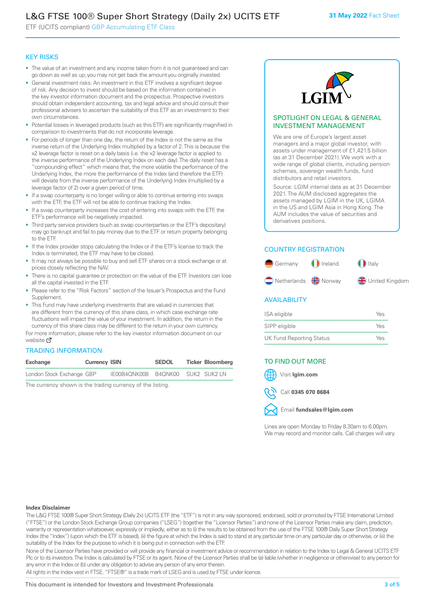# L&G FTSE 100® Super Short Strategy (Daily 2x) UCITS ETF

ETF (UCITS compliant) GBP Accumulating ETF Class

#### KEY RISKS

- The value of an investment and any income taken from it is not guaranteed and can go down as well as up; you may not get back the amount you originally invested.
- General investment risks: An investment in this ETF involves a significant degree of risk. Any decision to invest should be based on the information contained in the key investor information document and the prospectus. Prospective investors should obtain independent accounting, tax and legal advice and should consult their professional advisers to ascertain the suitability of this ETF as an investment to their own circumstances.
- Potential losses in leveraged products (such as this ETF) are significantly magnified in comparison to investments that do not incorporate leverage.
- For periods of longer than one day, the return of the Index is not the same as the inverse return of the Underlying Index multiplied by a factor of 2. This is because the x2 leverage factor is reset on a daily basis (i.e. the x2 leverage factor is applied to the inverse performance of the Underlying Index on each day). The daily reset has a "compounding effect" which means that, the more volatile the performance of the Underlying Index, the more the performance of the Index (and therefore the ETF) will deviate from the inverse performance of the Underlying Index (multiplied by a leverage factor of 2) over a given period of time.
- If a swap counterparty is no longer willing or able to continue entering into swaps with the ETF, the ETF will not be able to continue tracking the Index.
- If a swap counterparty increases the cost of entering into swaps with the ETF, the ETF's performance will be negatively impacted.
- Third party service providers (such as swap counterparties or the ETF's depositary) may go bankrupt and fail to pay money due to the ETF or return property belonging to the ETF.
- If the Index provider stops calculating the Index or if the ETF's license to track the Index is terminated, the ETF may have to be closed.
- It may not always be possible to buy and sell ETF shares on a stock exchange or at prices closely reflecting the NAV.
- There is no capital guarantee or protection on the value of the ETF. Investors can lose all the capital invested in the ETF.
- Please refer to the "Risk Factors" section of the Issuer's Prospectus and the Fund Supplement.
- This Fund may have underlying investments that are valued in currencies that are different from the currency of this share class, in which case exchange rate fluctuations will impact the value of your investment. In addition, the return in the currency of this share class may be different to the return in your own currency.

For mo[re inf](https://www.lgimetf.com/)ormation, please refer to the key investor information document on our website Ø

#### TRADING INFORMATION

| Exchange                  | <b>Currency ISIN</b> |                                   | <b>SEDOL</b> | <b>Ticker Bloomberg</b> |
|---------------------------|----------------------|-----------------------------------|--------------|-------------------------|
| London Stock Exchange GBP |                      | IE00B4QNK008 B4QNK00 SUK2 SUK2 LN |              |                         |

The currency shown is the trading currency of the listing.



#### SPOTLIGHT ON LEGAL & GENERAL INVESTMENT MANAGEMENT

We are one of Europe's largest asset managers and a major global investor, with assets under management of £1,421.5 billion (as at 31 December 2021). We work with a wide range of global clients, including pension schemes, sovereign wealth funds, fund distributors and retail investors.

Source: LGIM internal data as at 31 December 2021. The AUM disclosed aggregates the assets managed by LGIM in the UK, LGIMA in the US and LGIM Asia in Hong Kong. The AUM includes the value of securities and derivatives positions.

## COUNTRY REGISTRATION



#### **AVAILABILITY**

| ISA eligible                    | Yes |
|---------------------------------|-----|
| SIPP eligible                   | Yes |
| <b>UK Fund Reporting Status</b> | Yes |

#### TO FIND OUT MORE

Visit **lgim.com**



Email **fundsales@lgim.com**

Lines are open Monday to Friday 8.30am to 6.00pm. We may record and monitor calls. Call charges will vary.

#### **Index Disclaimer**

The L&G FTSE 100® Super Short Strategy (Daily 2x) UCITS ETF (the "ETF") is not in any way sponsored, endorsed, sold or promoted by FTSE International Limited ("FTSE") or the London Stock Exchange Group companies ("LSEG") (together the "Licensor Parties") and none of the Licensor Parties make any claim, prediction, warranty or representation whatsoever, expressly or impliedly, either as to (i) the results to be obtained from the use of the FTSE 100® Daily Super Short Strategy Index (the "Index") (upon which the ETF is based), (ii) the figure at which the Index is said to stand at any particular time on any particular day or otherwise, or (iii) the suitability of the Index for the purpose to which it is being put in connection with the ETF.

None of the Licensor Parties have provided or will provide any financial or investment advice or recommendation in relation to the Index to Legal & General UCITS ETF Plc or to its investors. The Index is calculated by FTSE or its agent. None of the Licensor Parties shall be (a) liable (whether in negligence or otherwise) to any person for any error in the Index or (b) under any obligation to advise any person of any error therein.

All rights in the Index vest in FTSE. "FTSE®" is a trade mark of LSEG and is used by FTSE under licence.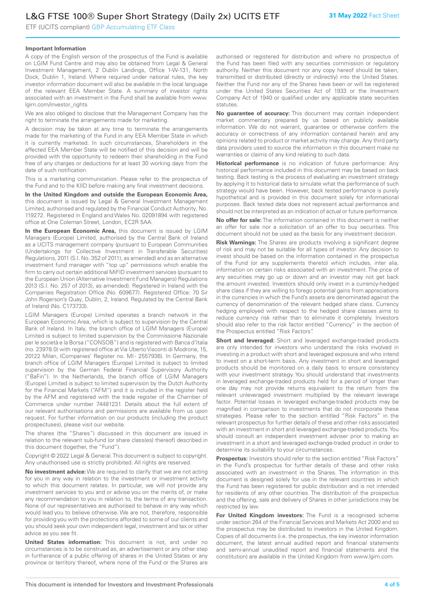ETF (UCITS compliant) GBP Accumulating ETF Class

#### **Important Information**

A copy of the English version of the prospectus of the Fund is available on LGIM Fund Centre and may also be obtained from Legal & General Investment Management, 2 Dublin Landings, Office 1-W-131, North Dock, Dublin 1, Ireland. Where required under national rules, the key investor information document will also be available in the local language of the relevant EEA Member State. A summary of investor rights associated with an investment in the Fund shall be available from www. lgim.com/investor\_rights

We are also obliged to disclose that the Management Company has the right to terminate the arrangements made for marketing.

A decision may be taken at any time to terminate the arrangements made for the marketing of the Fund in any EEA Member State in which it is currently marketed. In such circumstances, Shareholders in the affected EEA Member State will be notified of this decision and will be provided with the opportunity to redeem their shareholding in the Fund free of any charges or deductions for at least 30 working days from the date of such notification.

This is a marketing communication. Please refer to the prospectus of the Fund and to the KIID before making any final investment decisions.

**In the United Kingdom and outside the European Economic Area,** this document is issued by Legal & General Investment Management Limited, authorised and regulated by the Financial Conduct Authority, No. 119272. Registered in England and Wales No. 02091894 with registered office at One Coleman Street, London, EC2R 5AA.

**In the European Economic Area,** this document is issued by LGIM Managers (Europe) Limited, authorised by the Central Bank of Ireland as a UCITS management company (pursuant to European Communities (Undertakings for Collective Investment in Transferable Securities) Regulations, 2011 (S.I. No. 352 of 2011), as amended) and as an alternative investment fund manager with "top up" permissions which enable the firm to carry out certain additional MiFID investment services (pursuant to the European Union (Alternative Investment Fund Managers) Regulations 2013 (S.I. No. 257 of 2013), as amended). Registered in Ireland with the Companies Registration Office (No. 609677). Registered Office: 70 Sir John Rogerson's Quay, Dublin, 2, Ireland. Regulated by the Central Bank of Ireland (No. C173733).

LGIM Managers (Europe) Limited operates a branch network in the European Economic Area, which is subject to supervision by the Central Bank of Ireland. In Italy, the branch office of LGIM Managers (Europe) Limited is subject to limited supervision by the Commissione Nazionale per le società e la Borsa ("CONSOB") and is registered with Banca d'Italia (no. 23978.0) with registered office at Via Uberto Visconti di Modrone, 15, 20122 Milan, (Companies' Register no. MI - 2557936). In Germany, the branch office of LGIM Managers (Europe) Limited is subject to limited supervision by the German Federal Financial Supervisory Authority ("BaFin"). In the Netherlands, the branch office of LGIM Managers (Europe) Limited is subject to limited supervision by the Dutch Authority for the Financial Markets ("AFM") and it is included in the register held by the AFM and registered with the trade register of the Chamber of Commerce under number 74481231. Details about the full extent of our relevant authorisations and permissions are available from us upon request. For further information on our products (including the product prospectuses), please visit our website.

The shares (the "Shares") discussed in this document are issued in relation to the relevant sub-fund (or share class(es) thereof) described in this document (together, the "Fund").

Copyright © 2022 Legal & General. This document is subject to copyright. Any unauthorised use is strictly prohibited. All rights are reserved.

**No investment advice:** We are required to clarify that we are not acting for you in any way in relation to the investment or investment activity to which this document relates. In particular, we will not provide any investment services to you and or advise you on the merits of, or make any recommendation to you in relation to, the terms of any transaction. None of our representatives are authorised to behave in any way which would lead you to believe otherwise. We are not, therefore, responsible for providing you with the protections afforded to some of our clients and you should seek your own independent legal, investment and tax or other advice as you see fit.

**United States information:** This document is not, and under no circumstances is to be construed as, an advertisement or any other step in furtherance of a public offering of shares in the United States or any province or territory thereof, where none of the Fund or the Shares are

authorised or registered for distribution and where no prospectus of the Fund has been filed with any securities commission or regulatory authority. Neither this document nor any copy hereof should be taken, transmitted or distributed (directly or indirectly) into the United States. Neither the Fund nor any of the Shares have been or will be registered under the United States Securities Act of 1933 or the Investment Company Act of 1940 or qualified under any applicable state securities statutes.

**No guarantee of accuracy:** This document may contain independent market commentary prepared by us based on publicly available information. We do not warrant, guarantee or otherwise confirm the accuracy or correctness of any information contained herein and any opinions related to product or market activity may change. Any third party data providers used to source the information in this document make no warranties or claims of any kind relating to such data.

**Historical performance** is no indication of future performance: Any historical performance included in this document may be based on back testing. Back testing is the process of evaluating an investment strategy by applying it to historical data to simulate what the performance of such strategy would have been. However, back tested performance is purely hypothetical and is provided in this document solely for informational purposes. Back tested data does not represent actual performance and should not be interpreted as an indication of actual or future performance.

**No offer for sale:** The information contained in this document is neither an offer for sale nor a solicitation of an offer to buy securities. This document should not be used as the basis for any investment decision.

**Risk Warnings:** The Shares are products involving a significant degree of risk and may not be suitable for all types of investor. Any decision to invest should be based on the information contained in the prospectus of the Fund (or any supplements thereto) which includes, inter alia, information on certain risks associated with an investment. The price of any securities may go up or down and an investor may not get back the amount invested. Investors should only invest in a currency-hedged share class if they are willing to forego potential gains from appreciations in the currencies in which the Fund's assets are denominated against the currency of denomination of the relevant hedged share class. Currency hedging employed with respect to the hedged share classes aims to reduce currency risk rather than to eliminate it completely. Investors should also refer to the risk factor entitled "Currency" in the section of the Prospectus entitled "Risk Factors".

**Short and leveraged:** Short and leveraged exchange-traded products are only intended for investors who understand the risks involved in investing in a product with short and leveraged exposure and who intend to invest on a short-term basis. Any investment in short and leveraged products should be monitored on a daily basis to ensure consistency with your investment strategy. You should understand that investments in leveraged exchange-traded products held for a period of longer than one day may not provide returns equivalent to the return from the relevant unleveraged investment multiplied by the relevant leverage factor. Potential losses in leveraged exchange-traded products may be magnified in comparison to investments that do not incorporate these strategies. Please refer to the section entitled "Risk Factors" in the relevant prospectus for further details of these and other risks associated with an investment in short and leveraged exchange-traded products. You should consult an independent investment adviser prior to making an investment in a short and leveraged exchange-traded product in order to determine its suitability to your circumstances.

**Prospectus:** Investors should refer to the section entitled "Risk Factors" in the Fund's prospectus for further details of these and other risks associated with an investment in the Shares. The information in this document is designed solely for use in the relevant countries in which the Fund has been registered for public distribution and is not intended for residents of any other countries. The distribution of the prospectus and the offering, sale and delivery of Shares in other jurisdictions may be restricted by law.

**For United Kingdom investors:** The Fund is a recognised scheme under section 264 of the Financial Services and Markets Act 2000 and so the prospectus may be distributed to investors in the United Kingdom. Copies of all documents (i.e. the prospectus, the key investor information document, the latest annual audited report and financial statements and semi-annual unaudited report and financial statements and the constitution) are available in the United Kingdom from www.lgim.com.